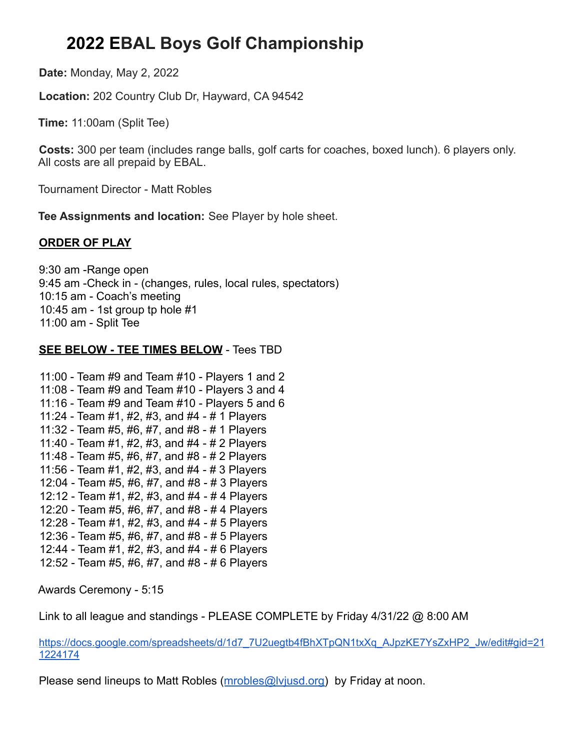## **2022 EBAL Boys Golf Championship**

**Date:** Monday, May 2, 2022

**Location:** 202 Country Club Dr, Hayward, CA 94542

**Time:** 11:00am (Split Tee)

**Costs:** 300 per team (includes range balls, golf carts for coaches, boxed lunch). 6 players only. All costs are all prepaid by EBAL.

Tournament Director - Matt Robles

**Tee Assignments and location:** See Player by hole sheet.

## **ORDER OF PLAY**

9:30 am -Range open 9:45 am -Check in - (changes, rules, local rules, spectators) 10:15 am - Coach's meeting 10:45 am - 1st group tp hole #1 11:00 am - Split Tee

## **SEE BELOW - TEE TIMES BELOW** - Tees TBD

```
11:00 - Team #9 and Team #10 - Players 1 and 2
11:08 - Team #9 and Team #10 - Players 3 and 4
11:16 - Team #9 and Team #10 - Players 5 and 6
11:24 - Team #1, #2, #3, and #4 - # 1 Players
11:32 - Team #5, #6, #7, and #8 - # 1 Players
11:40 - Team #1, #2, #3, and #4 - # 2 Players
11:48 - Team #5, #6, #7, and #8 - # 2 Players
11:56 - Team #1, #2, #3, and #4 - # 3 Players
12:04 - Team #5, #6, #7, and #8 - # 3 Players
12:12 - Team #1, #2, #3, and #4 - # 4 Players
12:20 - Team #5, #6, #7, and #8 - # 4 Players
12:28 - Team #1, #2, #3, and #4 - # 5 Players
12:36 - Team #5, #6, #7, and #8 - # 5 Players
12:44 - Team #1, #2, #3, and #4 - # 6 Players
12:52 - Team #5, #6, #7, and #8 - # 6 Players
```
Awards Ceremony - 5:15

Link to all league and standings - PLEASE COMPLETE by Friday 4/31/22 @ 8:00 AM

[https://docs.google.com/spreadsheets/d/1d7\\_7U2uegtb4fBhXTpQN1txXq\\_AJpzKE7YsZxHP2\\_Jw/edit#gid=21](https://urldefense.com/v3/__https://docs.google.com/spreadsheets/d/1d7_7U2uegtb4fBhXTpQN1txXq_AJpzKE7YsZxHP2_Jw/edit*gid=211224174__;Iw!!CDXB8Uds!6h-HHn5PYTiGGm3dqU4XIrh3Clz8LtY4HhgCK3cB-VcDS4pYaKW8mnlD5gg57uRRgRrgYOs1YSzZdXLPBeUH01lEmg$) [1224174](https://urldefense.com/v3/__https://docs.google.com/spreadsheets/d/1d7_7U2uegtb4fBhXTpQN1txXq_AJpzKE7YsZxHP2_Jw/edit*gid=211224174__;Iw!!CDXB8Uds!6h-HHn5PYTiGGm3dqU4XIrh3Clz8LtY4HhgCK3cB-VcDS4pYaKW8mnlD5gg57uRRgRrgYOs1YSzZdXLPBeUH01lEmg$)

Please send lineups to Matt Robles ([mrobles@lvjusd.org\)](mailto:mrobles@lvjusd.org) by Friday at noon.